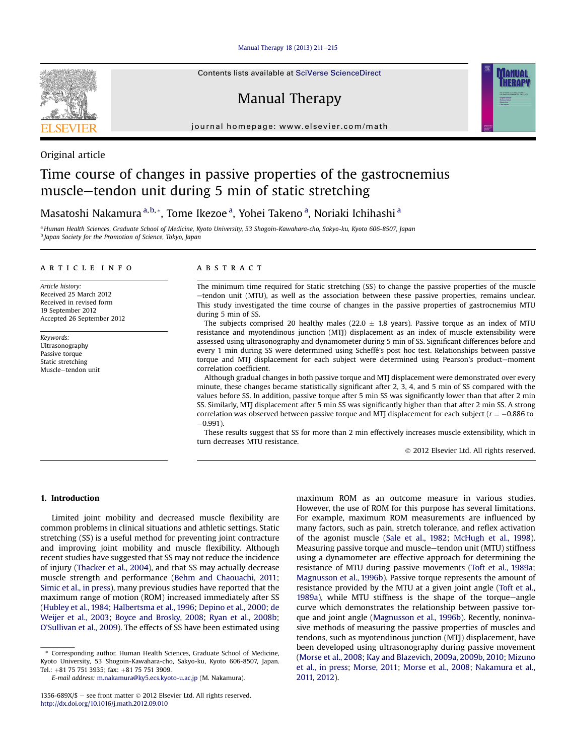[Manual Therapy 18 \(2013\) 211](http://dx.doi.org/10.1016/j.math.2012.09.010)-[215](http://dx.doi.org/10.1016/j.math.2012.09.010)



Contents lists available at SciVerse ScienceDirect

# Manual Therapy



journal homepage: [www.elsevier.com/math](http://www.elsevier.com/math)

# Original article

# Time course of changes in passive properties of the gastrocnemius muscle-tendon unit during 5 min of static stretching

Masatoshi Nakamura <sup>a, b,</sup> \*, Tome Ikezoe <sup>a</sup>, Yohei Takeno <sup>a</sup>, Noriaki Ichihashi <sup>a</sup>

<sup>a</sup> Human Health Sciences, Graduate School of Medicine, Kyoto University, 53 Shogoin-Kawahara-cho, Sakyo-ku, Kyoto 606-8507, Japan **b** Japan Society for the Promotion of Science, Tokyo, Japan

## article info

Article history: Received 25 March 2012 Received in revised form 19 September 2012 Accepted 26 September 2012

Keywords: Ultrasonography Passive torque Static stretching Muscle-tendon unit

# ABSTRACT

The minimum time required for Static stretching (SS) to change the passive properties of the muscle -tendon unit (MTU), as well as the association between these passive properties, remains unclear. This study investigated the time course of changes in the passive properties of gastrocnemius MTU during 5 min of SS.

The subjects comprised 20 healthy males (22.0  $\pm$  1.8 years). Passive torque as an index of MTU resistance and myotendinous junction (MTJ) displacement as an index of muscle extensibility were assessed using ultrasonography and dynamometer during 5 min of SS. Significant differences before and every 1 min during SS were determined using Scheffé's post hoc test. Relationships between passive torque and MTJ displacement for each subject were determined using Pearson's product-moment correlation coefficient.

Although gradual changes in both passive torque and MTJ displacement were demonstrated over every minute, these changes became statistically significant after 2, 3, 4, and 5 min of SS compared with the values before SS. In addition, passive torque after 5 min SS was significantly lower than that after 2 min SS. Similarly, MTJ displacement after 5 min SS was significantly higher than that after 2 min SS. A strong correlation was observed between passive torque and MTJ displacement for each subject ( $r = -0.886$  to  $-0.991$ ).

These results suggest that SS for more than 2 min effectively increases muscle extensibility, which in turn decreases MTU resistance.

2012 Elsevier Ltd. All rights reserved.

# 1. Introduction

Limited joint mobility and decreased muscle flexibility are common problems in clinical situations and athletic settings. Static stretching (SS) is a useful method for preventing joint contracture and improving joint mobility and muscle flexibility. Although recent studies have suggested that SS may not reduce the incidence of injury ([Thacker et al., 2004\)](#page-4-0), and that SS may actually decrease muscle strength and performance [\(Behm and Chaouachi, 2011;](#page-3-0) [Simic et al., in press\)](#page-4-0), many previous studies have reported that the maximum range of motion (ROM) increased immediately after SS ([Hubley et al., 1984;](#page-3-0) [Halbertsma et al., 1996](#page-3-0); [Depino et al., 2000](#page-3-0); [de](#page-3-0) [Weijer et al., 2003;](#page-3-0) [Boyce and Brosky, 2008;](#page-3-0) [Ryan et al., 2008b;](#page-4-0) O'[Sullivan et al., 2009\)](#page-4-0). The effects of SS have been estimated using

\* Corresponding author. Human Health Sciences, Graduate School of Medicine, Kyoto University, 53 Shogoin-Kawahara-cho, Sakyo-ku, Kyoto 606-8507, Japan. Tel.: +81 75 751 3935; fax: +81 75 751 3909.

E-mail address: [m.nakamura@ky5.ecs.kyoto-u.ac.jp](mailto:m.nakamura@ky5.ecs.kyoto-u.ac.jp) (M. Nakamura).

maximum ROM as an outcome measure in various studies. However, the use of ROM for this purpose has several limitations. For example, maximum ROM measurements are influenced by many factors, such as pain, stretch tolerance, and reflex activation of the agonist muscle ([Sale et al., 1982;](#page-4-0) [McHugh et al., 1998\)](#page-4-0). Measuring passive torque and muscle-tendon unit (MTU) stiffness using a dynamometer are effective approach for determining the resistance of MTU during passive movements [\(Toft et al., 1989a;](#page-4-0) [Magnusson et al., 1996b](#page-4-0)). Passive torque represents the amount of resistance provided by the MTU at a given joint angle ([Toft et al.,](#page-4-0) [1989a](#page-4-0)), while MTU stiffness is the shape of the torque-angle curve which demonstrates the relationship between passive torque and joint angle [\(Magnusson et al., 1996b](#page-4-0)). Recently, noninvasive methods of measuring the passive properties of muscles and tendons, such as myotendinous junction (MTJ) displacement, have been developed using ultrasonography during passive movement ([Morse et al., 2008;](#page-4-0) [Kay and Blazevich, 2009a,](#page-4-0) [2009b](#page-4-0), [2010](#page-4-0); [Mizuno](#page-4-0) [et al., in press](#page-4-0); [Morse, 2011;](#page-4-0) [Morse et al., 2008;](#page-4-0) [Nakamura et al.,](#page-4-0) [2011,](#page-4-0) [2012](#page-4-0)).

<sup>1356-689</sup>X/\$  $-$  see front matter  $\odot$  2012 Elsevier Ltd. All rights reserved. <http://dx.doi.org/10.1016/j.math.2012.09.010>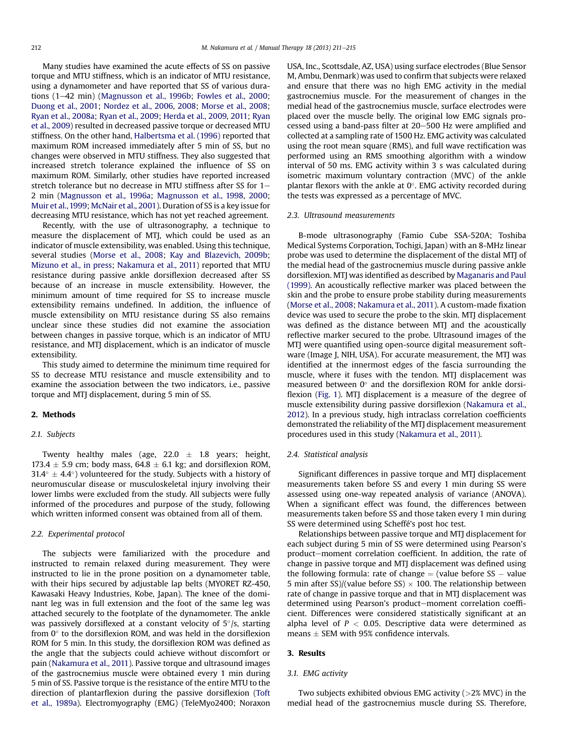Many studies have examined the acute effects of SS on passive torque and MTU stiffness, which is an indicator of MTU resistance, using a dynamometer and have reported that SS of various dura-tions (1-42 min) [\(Magnusson et al., 1996b;](#page-4-0) [Fowles et al., 2000](#page-3-0); [Duong et al., 2001](#page-3-0); [Nordez et al., 2006,](#page-4-0) [2008;](#page-4-0) [Morse et al., 2008](#page-4-0); [Ryan et al., 2008a](#page-4-0); [Ryan et al., 2009;](#page-4-0) [Herda et al., 2009](#page-3-0), [2011](#page-3-0); [Ryan](#page-3-0) [et al., 2009\)](#page-3-0) resulted in decreased passive torque or decreased MTU stiffness. On the other hand, [Halbertsma et al. \(1996\)](#page-3-0) reported that maximum ROM increased immediately after 5 min of SS, but no changes were observed in MTU stiffness. They also suggested that increased stretch tolerance explained the influence of SS on maximum ROM. Similarly, other studies have reported increased stretch tolerance but no decrease in MTU stiffness after SS for  $1-$ 2 min [\(Magnusson et al., 1996a](#page-4-0); [Magnusson et al., 1998,](#page-4-0) [2000](#page-4-0); [Muir et al.,1999](#page-4-0); [McNair et al., 2001](#page-4-0)). Duration of SS is a key issue for decreasing MTU resistance, which has not yet reached agreement.

Recently, with the use of ultrasonography, a technique to measure the displacement of MTJ, which could be used as an indicator of muscle extensibility, was enabled. Using this technique, several studies ([Morse et al., 2008](#page-4-0); [Kay and Blazevich, 2009b](#page-4-0); [Mizuno et al., in press;](#page-4-0) [Nakamura et al., 2011](#page-4-0)) reported that MTU resistance during passive ankle dorsiflexion decreased after SS because of an increase in muscle extensibility. However, the minimum amount of time required for SS to increase muscle extensibility remains undefined. In addition, the influence of muscle extensibility on MTU resistance during SS also remains unclear since these studies did not examine the association between changes in passive torque, which is an indicator of MTU resistance, and MTJ displacement, which is an indicator of muscle extensibility.

This study aimed to determine the minimum time required for SS to decrease MTU resistance and muscle extensibility and to examine the association between the two indicators, i.e., passive torque and MTJ displacement, during 5 min of SS.

#### 2. Methods

# 2.1. Subjects

Twenty healthy males (age,  $22.0 \pm 1.8$  years; height, 173.4  $\pm$  5.9 cm; body mass, 64.8  $\pm$  6.1 kg; and dorsiflexion ROM,  $31.4^{\circ} \pm 4.4^{\circ}$ ) volunteered for the study. Subjects with a history of neuromuscular disease or musculoskeletal injury involving their lower limbs were excluded from the study. All subjects were fully informed of the procedures and purpose of the study, following which written informed consent was obtained from all of them.

#### 2.2. Experimental protocol

The subjects were familiarized with the procedure and instructed to remain relaxed during measurement. They were instructed to lie in the prone position on a dynamometer table, with their hips secured by adjustable lap belts (MYORET RZ-450, Kawasaki Heavy Industries, Kobe, Japan). The knee of the dominant leg was in full extension and the foot of the same leg was attached securely to the footplate of the dynamometer. The ankle was passively dorsiflexed at a constant velocity of  $5^{\circ}/s$ , starting from  $0^\circ$  to the dorsiflexion ROM, and was held in the dorsiflexion ROM for 5 min. In this study, the dorsiflexion ROM was defined as the angle that the subjects could achieve without discomfort or pain [\(Nakamura et al., 2011](#page-4-0)). Passive torque and ultrasound images of the gastrocnemius muscle were obtained every 1 min during 5 min of SS. Passive torque is the resistance of the entire MTU to the direction of plantarflexion during the passive dorsiflexion [\(Toft](#page-4-0) [et al., 1989a\)](#page-4-0). Electromyography (EMG) (TeleMyo2400; Noraxon USA, Inc., Scottsdale, AZ, USA) using surface electrodes (Blue Sensor M, Ambu, Denmark) was used to confirm that subjects were relaxed and ensure that there was no high EMG activity in the medial gastrocnemius muscle. For the measurement of changes in the medial head of the gastrocnemius muscle, surface electrodes were placed over the muscle belly. The original low EMG signals processed using a band-pass filter at 20–500 Hz were amplified and collected at a sampling rate of 1500 Hz. EMG activity was calculated using the root mean square (RMS), and full wave rectification was performed using an RMS smoothing algorithm with a window interval of 50 ms. EMG activity within 3 s was calculated during isometric maximum voluntary contraction (MVC) of the ankle plantar flexors with the ankle at  $0^\circ$ . EMG activity recorded during the tests was expressed as a percentage of MVC.

#### 2.3. Ultrasound measurements

B-mode ultrasonography (Famio Cube SSA-520A; Toshiba Medical Systems Corporation, Tochigi, Japan) with an 8-MHz linear probe was used to determine the displacement of the distal MTJ of the medial head of the gastrocnemius muscle during passive ankle dorsiflexion. MTJ was identified as described by [Maganaris and Paul](#page-4-0) [\(1999\)](#page-4-0). An acoustically reflective marker was placed between the skin and the probe to ensure probe stability during measurements ([Morse et al., 2008](#page-4-0); [Nakamura et al., 2011](#page-4-0)). A custom-made fixation device was used to secure the probe to the skin. MTJ displacement was defined as the distance between MTJ and the acoustically reflective marker secured to the probe. Ultrasound images of the MTJ were quantified using open-source digital measurement software (Image J, NIH, USA). For accurate measurement, the MTJ was identified at the innermost edges of the fascia surrounding the muscle, where it fuses with the tendon. MTJ displacement was measured between  $0^{\circ}$  and the dorsiflexion ROM for ankle dorsi-flexion [\(Fig. 1\)](#page-2-0). MTJ displacement is a measure of the degree of muscle extensibility during passive dorsiflexion [\(Nakamura et al.,](#page-4-0) [2012](#page-4-0)). In a previous study, high intraclass correlation coefficients demonstrated the reliability of the MTJ displacement measurement procedures used in this study ([Nakamura et al., 2011\)](#page-4-0).

# 2.4. Statistical analysis

Significant differences in passive torque and MTJ displacement measurements taken before SS and every 1 min during SS were assessed using one-way repeated analysis of variance (ANOVA). When a significant effect was found, the differences between measurements taken before SS and those taken every 1 min during SS were determined using Scheffé's post hoc test.

Relationships between passive torque and MTJ displacement for each subject during 5 min of SS were determined using Pearson's product-moment correlation coefficient. In addition, the rate of change in passive torque and MTJ displacement was defined using the following formula: rate of change  $=$  (value before SS  $-$  value 5 min after SS)/(value before SS)  $\times$  100. The relationship between rate of change in passive torque and that in MTJ displacement was determined using Pearson's product-moment correlation coefficient. Differences were considered statistically significant at an alpha level of  $P < 0.05$ . Descriptive data were determined as means  $\pm$  SEM with 95% confidence intervals.

## 3. Results

#### 3.1. EMG activity

Two subjects exhibited obvious EMG activity  $(>2)$ % MVC) in the medial head of the gastrocnemius muscle during SS. Therefore,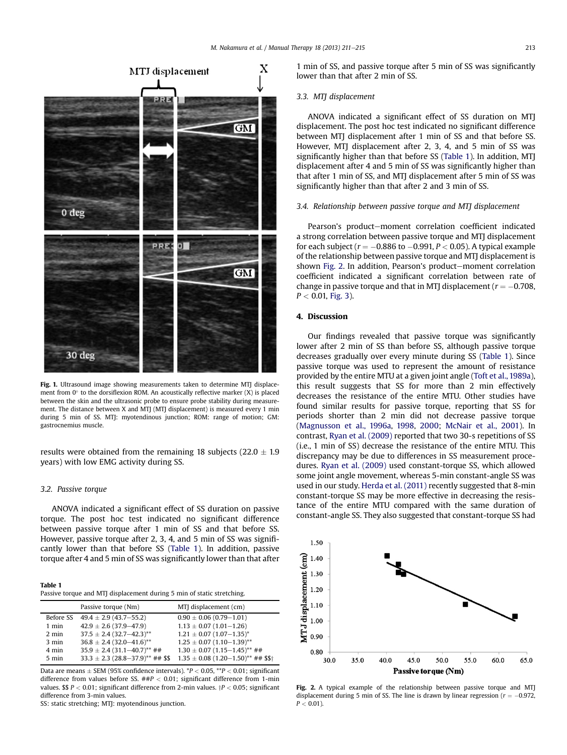<span id="page-2-0"></span>

Fig. 1. Ultrasound image showing measurements taken to determine MTJ displacement from  $0^\circ$  to the dorsiflexion ROM. An acoustically reflective marker  $(X)$  is placed between the skin and the ultrasonic probe to ensure probe stability during measurement. The distance between X and MTJ (MTJ displacement) is measured every 1 min during 5 min of SS. MTJ: myotendinous junction; ROM: range of motion; GM: gastrocnemius muscle.

results were obtained from the remaining 18 subjects (22.0  $\pm$  1.9 years) with low EMG activity during SS.

## 3.2. Passive torque

ANOVA indicated a significant effect of SS duration on passive torque. The post hoc test indicated no significant difference between passive torque after 1 min of SS and that before SS. However, passive torque after 2, 3, 4, and 5 min of SS was significantly lower than that before SS (Table 1). In addition, passive torque after 4 and 5 min of SS was significantly lower than that after

| <b>Table 1</b>                                                         |  |
|------------------------------------------------------------------------|--|
| Passive torque and MTJ displacement during 5 min of static stretching. |  |

|                 | Passive torque (Nm)                              | MTJ displacement (cm)                              |
|-----------------|--------------------------------------------------|----------------------------------------------------|
| Before SS       | $49.4 \pm 2.9$ (43.7-55.2)                       | $0.90 \pm 0.06$ (0.79-1.01)                        |
| 1 min           | $42.9 \pm 2.6$ (37.9-47.9)                       | $1.13 \pm 0.07$ (1.01-1.26)                        |
| $2 \text{ min}$ | $37.5 \pm 2.4 (32.7 - 42.3)^{**}$                | $1.21 \pm 0.07$ (1.07-1.35) <sup>*</sup>           |
| $3 \text{ min}$ | $36.8 \pm 2.4 (32.0 - 41.6)^{**}$                | $1.25 \pm 0.07$ (1.10-1.39)**                      |
| 4 min           | $35.9 \pm 2.4 (31.1 - 40.7)^{**}$ ##             | $1.30 \pm 0.07$ (1.15-1.45) <sup>**</sup> ##       |
| $5 \text{ min}$ | $33.3 \pm 2.3$ (28.8-37.9) <sup>**</sup> ## \$\$ | $1.35 \pm 0.08$ (1.20-1.50) <sup>**</sup> ## \$\$† |

Data are means  $\pm$  SEM (95% confidence intervals).  $^{*}P$  < 0.05,  $^{**}P$  < 0.01; significant difference from values before SS.  $#P < 0.01$ ; significant difference from 1-min values.  $$P < 0.01$ ; significant difference from 2-min values.  $P < 0.05$ ; significant difference from 3-min values.

SS: static stretching; MTJ: myotendinous junction.

1 min of SS, and passive torque after 5 min of SS was significantly lower than that after 2 min of SS.

# 3.3. MTJ displacement

ANOVA indicated a significant effect of SS duration on MTJ displacement. The post hoc test indicated no significant difference between MTJ displacement after 1 min of SS and that before SS. However, MTJ displacement after 2, 3, 4, and 5 min of SS was significantly higher than that before SS (Table 1). In addition, MTJ displacement after 4 and 5 min of SS was significantly higher than that after 1 min of SS, and MTJ displacement after 5 min of SS was significantly higher than that after 2 and 3 min of SS.

#### 3.4. Relationship between passive torque and MTJ displacement

Pearson's product-moment correlation coefficient indicated a strong correlation between passive torque and MTJ displacement for each subject ( $r = -0.886$  to  $-0.991$ ,  $P < 0.05$ ). A typical example of the relationship between passive torque and MTJ displacement is shown Fig. 2. In addition, Pearson's product-moment correlation coefficient indicated a significant correlation between rate of change in passive torque and that in MTJ displacement ( $r = -0.708$ ,  $P < 0.01$ , [Fig. 3](#page-3-0)).

# 4. Discussion

Our findings revealed that passive torque was significantly lower after 2 min of SS than before SS, although passive torque decreases gradually over every minute during SS (Table 1). Since passive torque was used to represent the amount of resistance provided by the entire MTU at a given joint angle [\(Toft et al., 1989a\)](#page-4-0), this result suggests that SS for more than 2 min effectively decreases the resistance of the entire MTU. Other studies have found similar results for passive torque, reporting that SS for periods shorter than 2 min did not decrease passive torque ([Magnusson et al., 1996a,](#page-4-0) [1998](#page-4-0), [2000;](#page-4-0) [McNair et al., 2001\)](#page-4-0). In contrast, [Ryan et al. \(2009\)](#page-4-0) reported that two 30-s repetitions of SS (i.e., 1 min of SS) decrease the resistance of the entire MTU. This discrepancy may be due to differences in SS measurement procedures. [Ryan et al. \(2009\)](#page-4-0) used constant-torque SS, which allowed some joint angle movement, whereas 5-min constant-angle SS was used in our study. [Herda et al. \(2011\)](#page-3-0) recently suggested that 8-min constant-torque SS may be more effective in decreasing the resistance of the entire MTU compared with the same duration of constant-angle SS. They also suggested that constant-torque SS had



Fig. 2. A typical example of the relationship between passive torque and MTJ displacement during 5 min of SS. The line is drawn by linear regression ( $r = -0.972$ ,  $P < 0.01$ ).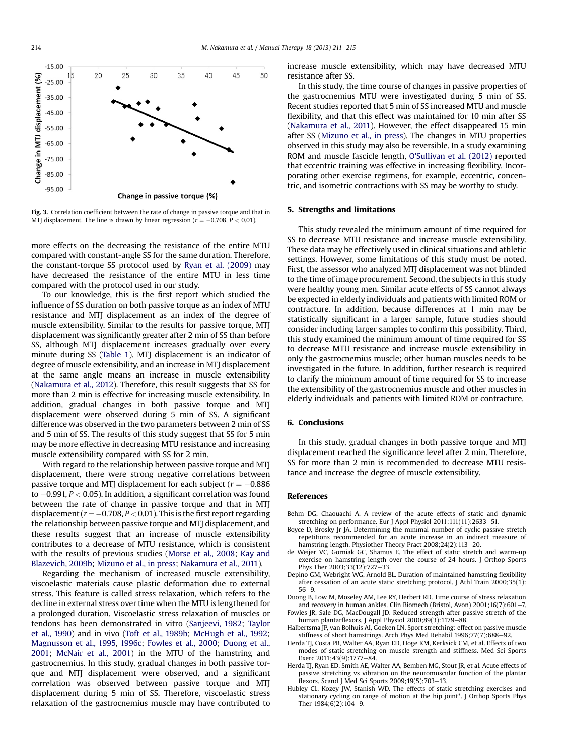<span id="page-3-0"></span>

Fig. 3. Correlation coefficient between the rate of change in passive torque and that in MTJ displacement. The line is drawn by linear regression ( $r = -0.708$ ,  $P < 0.01$ ).

more effects on the decreasing the resistance of the entire MTU compared with constant-angle SS for the same duration. Therefore, the constant-torque SS protocol used by [Ryan et al. \(2009\)](#page-4-0) may have decreased the resistance of the entire MTU in less time compared with the protocol used in our study.

To our knowledge, this is the first report which studied the influence of SS duration on both passive torque as an index of MTU resistance and MTJ displacement as an index of the degree of muscle extensibility. Similar to the results for passive torque, MTJ displacement was significantly greater after 2 min of SS than before SS, although MTJ displacement increases gradually over every minute during SS [\(Table 1\)](#page-2-0). MTJ displacement is an indicator of degree of muscle extensibility, and an increase in MTJ displacement at the same angle means an increase in muscle extensibility ([Nakamura et al., 2012](#page-4-0)). Therefore, this result suggests that SS for more than 2 min is effective for increasing muscle extensibility. In addition, gradual changes in both passive torque and MTJ displacement were observed during 5 min of SS. A significant difference was observed in the two parameters between 2 min of SS and 5 min of SS. The results of this study suggest that SS for 5 min may be more effective in decreasing MTU resistance and increasing muscle extensibility compared with SS for 2 min.

With regard to the relationship between passive torque and MTJ displacement, there were strong negative correlations between passive torque and MTJ displacement for each subject ( $r = -0.886$ ) to  $-0.991$ ,  $P < 0.05$ ). In addition, a significant correlation was found between the rate of change in passive torque and that in MTJ displacement ( $r = -0.708$ ,  $P < 0.01$ ). This is the first report regarding the relationship between passive torque and MTJ displacement, and these results suggest that an increase of muscle extensibility contributes to a decrease of MTU resistance, which is consistent with the results of previous studies ([Morse et al., 2008;](#page-4-0) [Kay and](#page-4-0) [Blazevich, 2009b;](#page-4-0) [Mizuno et al., in press;](#page-4-0) [Nakamura et al., 2011](#page-4-0)).

Regarding the mechanism of increased muscle extensibility, viscoelastic materials cause plastic deformation due to external stress. This feature is called stress relaxation, which refers to the decline in external stress over time when the MTU is lengthened for a prolonged duration. Viscoelastic stress relaxation of muscles or tendons has been demonstrated in vitro ([Sanjeevi, 1982](#page-4-0); [Taylor](#page-4-0) [et al., 1990](#page-4-0)) and in vivo [\(Toft et al., 1989b](#page-4-0); [McHugh et al., 1992](#page-4-0); [Magnusson et al., 1995,](#page-4-0) [1996c;](#page-4-0) Fowles et al., 2000; Duong et al., 2001; [McNair et al., 2001\)](#page-4-0) in the MTU of the hamstring and gastrocnemius. In this study, gradual changes in both passive torque and MTJ displacement were observed, and a significant correlation was observed between passive torque and MTJ displacement during 5 min of SS. Therefore, viscoelastic stress relaxation of the gastrocnemius muscle may have contributed to increase muscle extensibility, which may have decreased MTU resistance after SS.

In this study, the time course of changes in passive properties of the gastrocnemius MTU were investigated during 5 min of SS. Recent studies reported that 5 min of SS increased MTU and muscle flexibility, and that this effect was maintained for 10 min after SS ([Nakamura et al., 2011](#page-4-0)). However, the effect disappeared 15 min after SS [\(Mizuno et al., in press\)](#page-4-0). The changes in MTU properties observed in this study may also be reversible. In a study examining ROM and muscle fascicle length, O'[Sullivan et al. \(2012\)](#page-4-0) reported that eccentric training was effective in increasing flexibility. Incorporating other exercise regimens, for example, eccentric, concentric, and isometric contractions with SS may be worthy to study.

#### 5. Strengths and limitations

This study revealed the minimum amount of time required for SS to decrease MTU resistance and increase muscle extensibility. These data may be effectively used in clinical situations and athletic settings. However, some limitations of this study must be noted. First, the assessor who analyzed MTJ displacement was not blinded to the time of image procurement. Second, the subjects in this study were healthy young men. Similar acute effects of SS cannot always be expected in elderly individuals and patients with limited ROM or contracture. In addition, because differences at 1 min may be statistically significant in a larger sample, future studies should consider including larger samples to confirm this possibility. Third, this study examined the minimum amount of time required for SS to decrease MTU resistance and increase muscle extensibility in only the gastrocnemius muscle; other human muscles needs to be investigated in the future. In addition, further research is required to clarify the minimum amount of time required for SS to increase the extensibility of the gastrocnemius muscle and other muscles in elderly individuals and patients with limited ROM or contracture.

# 6. Conclusions

In this study, gradual changes in both passive torque and MTJ displacement reached the significance level after 2 min. Therefore, SS for more than 2 min is recommended to decrease MTU resistance and increase the degree of muscle extensibility.

#### References

- Behm DG, Chaouachi A. A review of the acute effects of static and dynamic stretching on performance. Eur J Appl Physiol 2011;111(11):2633-51.
- Boyce D, Brosky Jr JA. Determining the minimal number of cyclic passive stretch repetitions recommended for an acute increase in an indirect measure of hamstring length. Physiother Theory Pract 2008;24(2):113-20.
- de Weijer VC, Gorniak GC, Shamus E. The effect of static stretch and warm-up exercise on hamstring length over the course of 24 hours. J Orthop Sports Phys Ther 2003:33(12):727-33.
- Depino GM, Webright WG, Arnold BL. Duration of maintained hamstring flexibility after cessation of an acute static stretching protocol. J Athl Train 2000;35(1):  $56 - 9$
- Duong B, Low M, Moseley AM, Lee RY, Herbert RD. Time course of stress relaxation and recovery in human ankles. Clin Biomech (Bristol, Avon)  $2001;16(7):601-7$ .
- Fowles JR, Sale DG, MacDougall JD. Reduced strength after passive stretch of the human plantarflexors. J Appl Physiol 2000;89(3):1179-88.
- Halbertsma JP, van Bolhuis AI, Goeken LN. Sport stretching: effect on passive muscle stiffness of short hamstrings. Arch Phys Med Rehabil 1996;77(7):688-92.
- Herda TJ, Costa PB, Walter AA, Ryan ED, Hoge KM, Kerksick CM, et al. Effects of two modes of static stretching on muscle strength and stiffness. Med Sci Sports Exerc 2011;43(9):1777-84
- Herda TJ, Ryan ED, Smith AE, Walter AA, Bemben MG, Stout JR, et al. Acute effects of passive stretching vs vibration on the neuromuscular function of the plantar flexors. Scand J Med Sci Sports 2009;19(5):703-13.
- Hubley CL, Kozey JW, Stanish WD. The effects of static stretching exercises and stationary cycling on range of motion at the hip joint\*. J Orthop Sports Phys Ther 1984;6(2):104-9.